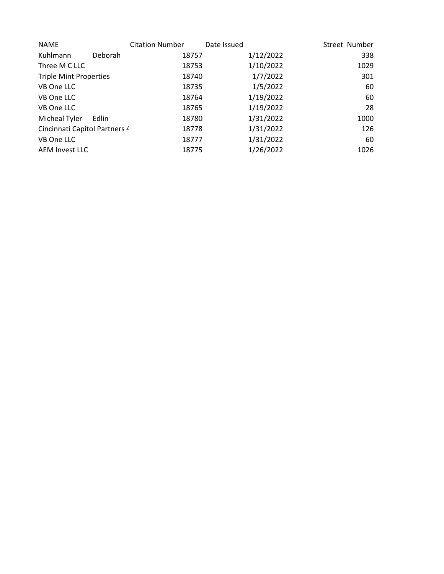| <b>NAME</b>                   |                | <b>Citation Number</b> | Date Issued | Street Number |
|-------------------------------|----------------|------------------------|-------------|---------------|
| Kuhlmann                      | <b>Deborah</b> | 18757                  | 1/12/2022   | 338           |
| Three M C LLC                 |                | 18753                  | 1/10/2022   | 1029          |
| <b>Triple Mint Properties</b> |                | 18740                  | 1/7/2022    | 301           |
| VB One LLC                    |                | 18735                  | 1/5/2022    | 60            |
| VB One LLC                    |                | 18764                  | 1/19/2022   | 60            |
| VB One LLC                    |                | 18765                  | 1/19/2022   | 28            |
| Micheal Tyler                 | Edlin          | 18780                  | 1/31/2022   | 1000          |
| Cincinnati Capitol Partners 4 |                | 18778                  | 1/31/2022   | 126           |
| VB One LLC                    |                | 18777                  | 1/31/2022   | 60            |
| AEM Invest LLC                |                | 18775                  | 1/26/2022   | 1026          |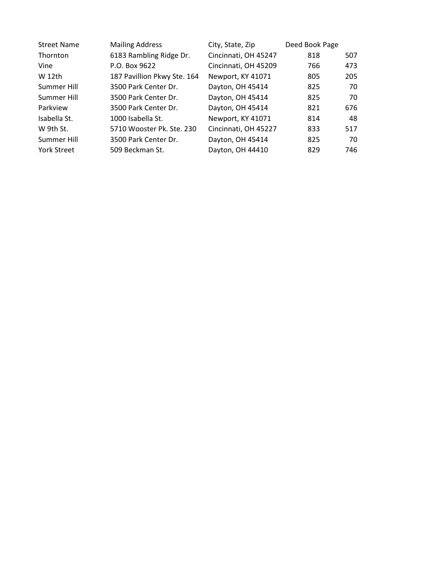| <b>Street Name</b> | <b>Mailing Address</b>      | City, State, Zip     | Deed Book Page |     |
|--------------------|-----------------------------|----------------------|----------------|-----|
| Thornton           | 6183 Rambling Ridge Dr.     | Cincinnati, OH 45247 | 818            | 507 |
| Vine               | P.O. Box 9622               | Cincinnati, OH 45209 | 766            | 473 |
| W 12th             | 187 Pavillion Pkwy Ste. 164 | Newport, KY 41071    | 805            | 205 |
| Summer Hill        | 3500 Park Center Dr.        | Dayton, OH 45414     | 825            | 70  |
| Summer Hill        | 3500 Park Center Dr.        | Dayton, OH 45414     | 825            | 70  |
| Parkview           | 3500 Park Center Dr.        | Dayton, OH 45414     | 821            | 676 |
| Isabella St.       | 1000 Isabella St.           | Newport, KY 41071    | 814            | 48  |
| W 9th St.          | 5710 Wooster Pk. Ste. 230   | Cincinnati, OH 45227 | 833            | 517 |
| Summer Hill        | 3500 Park Center Dr.        | Dayton, OH 45414     | 825            | 70  |
| <b>York Street</b> | 509 Beckman St.             | Dayton, OH 44410     | 829            | 746 |
|                    |                             |                      |                |     |